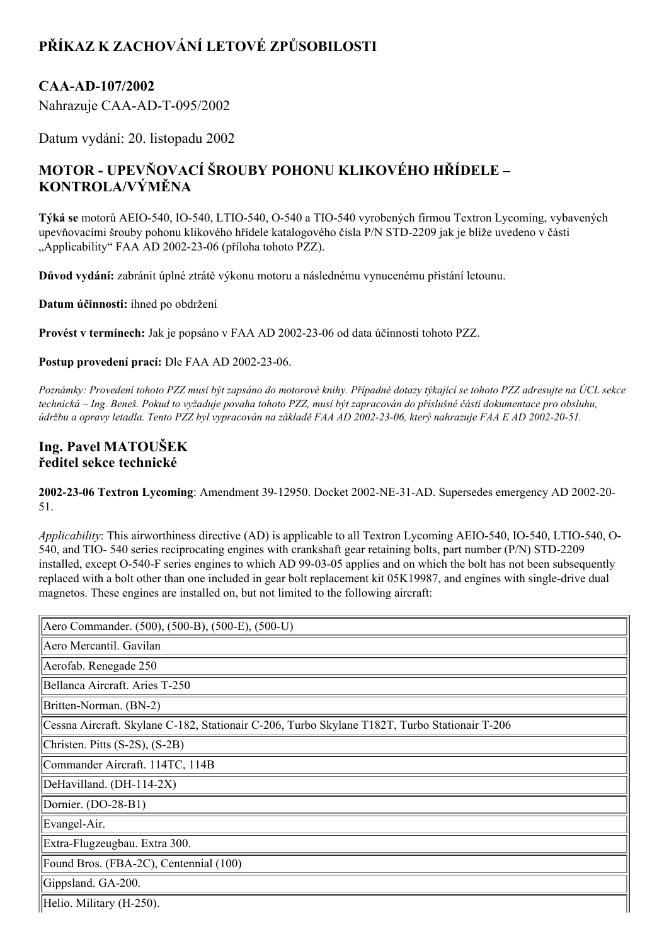# **PŘÍKAZ K ZACHOVÁNÍ LETOVÉ ZPŮSOBILOSTI**

### **CAAAD107/2002**

Nahrazuje CAA-AD-T-095/2002

Datum vydání: 20. listopadu 2002

## **MOTOR UPEVŇOVACÍ ŠROUBY POHONU KLIKOVÉHO HŘÍDELE – KONTROLA/VÝMĚNA**

Týká se motorů AEIO-540, IO-540, LTIO-540, O-540 a TIO-540 vyrobených firmou Textron Lycoming, vybavených upevňovacími šrouby pohonu klikového hřídele katalogového čísla P/N STD-2209 jak je blíže uvedeno v části "Applicability" FAA AD 2002-23-06 (příloha tohoto PZZ).

**Důvod vydání:** zabránit úplné ztrátě výkonu motoru a následnému vynucenému přistání letounu.

**Datum účinnosti:** ihned po obdržení

**Provést v termínech:** Jak je popsáno v FAA AD 20022306 od data účinnosti tohoto PZZ.

**Postup provedení prací:** Dle FAA AD 2002-23-06.

Poznámky: Provedení tohoto PZZ musí být zapsáno do motorové knihy. Případné dotazy týkající se tohoto PZZ adresujte na ÚCL sekce technická – Ing. Beneš. Pokud to vyžaduje povaha tohoto PZZ, musí být zapracován do příslušné části dokumentace pro obsluhu, údržbu a opravy letadla. Tento PZZ byl vypracován na základě FAA AD 2002-23-06, který nahrazuje FAA E AD 2002-20-51.

### **Ing. Pavel MATOUŠEK ředitel sekce technické**

2002-23-06 Textron Lycoming: Amendment 39-12950. Docket 2002-NE-31-AD. Supersedes emergency AD 2002-20-51.

*Applicability*: This airworthiness directive (AD) is applicable to all Textron Lycoming AEIO-540, IO-540, LTIO-540, O-540, and TIO-540 series reciprocating engines with crankshaft gear retaining bolts, part number (P/N) STD-2209 installed, except O-540-F series engines to which AD 99-03-05 applies and on which the bolt has not been subsequently replaced with a bolt other than one included in gear bolt replacement kit  $0.05K19987$ , and engines with single-drive dual magnetos. These engines are installed on, but not limited to the following aircraft:

| Aero Commander. (500), (500-B), (500-E), (500-U)                                              |
|-----------------------------------------------------------------------------------------------|
| Aero Mercantil. Gavilan                                                                       |
| Aerofab. Renegade 250                                                                         |
| Bellanca Aircraft. Aries T-250                                                                |
| Britten-Norman. (BN-2)                                                                        |
| Cessna Aircraft. Skylane C-182, Stationair C-206, Turbo Skylane T182T, Turbo Stationair T-206 |
| Christen. Pitts (S-2S), (S-2B)                                                                |
| Commander Aircraft. 114TC, 114B                                                               |
| DeHavilland. (DH-114-2X)                                                                      |
| Dornier. (DO-28-B1)                                                                           |
| Evangel-Air.                                                                                  |
| Extra-Flugzeugbau. Extra 300.                                                                 |
| Found Bros. (FBA-2C), Centennial (100)                                                        |
| Gippsland. GA-200.                                                                            |
| Helio. Military (H-250).                                                                      |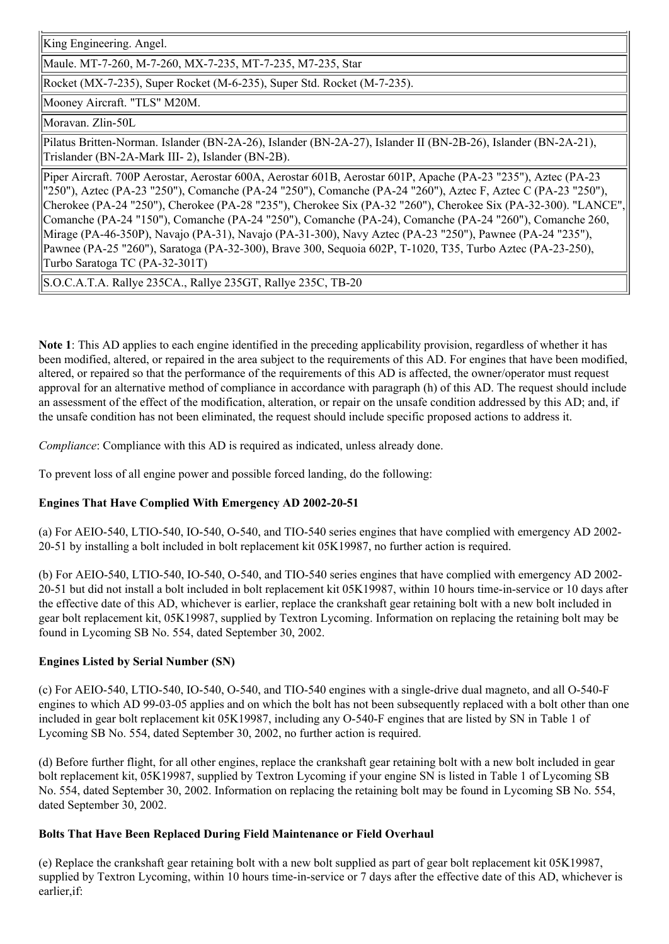King Engineering. Angel.

Maule. MT-7-260, M-7-260, MX-7-235, MT-7-235, M7-235, Star

Rocket (MX-7-235), Super Rocket (M-6-235), Super Std. Rocket (M-7-235).

Mooney Aircraft. "TLS" M20M.

Moravan. Zlin-50L

Pilatus Britten-Norman. Islander (BN-2A-26), Islander (BN-2A-27), Islander II (BN-2B-26), Islander (BN-2A-21), Trislander (BN-2A-Mark III-2), Islander (BN-2B).

Piper Aircraft. 700P Aerostar, Aerostar 600A, Aerostar 601B, Aerostar 601P, Apache (PA23 "235"), Aztec (PA23 "250"), Aztec (PA23 "250"), Comanche (PA24 "250"), Comanche (PA24 "260"), Aztec F, Aztec C (PA23 "250"), Cherokee (PA24 "250"), Cherokee (PA28 "235"), Cherokee Six (PA32 "260"), Cherokee Six (PA32300). "LANCE", Comanche (PA24 "150"), Comanche (PA24 "250"), Comanche (PA24), Comanche (PA24 "260"), Comanche 260, Mirage (PA-46-350P), Navajo (PA-31), Navajo (PA-31-300), Navy Aztec (PA-23 "250"), Pawnee (PA-24 "235"), Pawnee (PA-25 "260"), Saratoga (PA-32-300), Brave 300, Sequoia 602P, T-1020, T35, Turbo Aztec (PA-23-250), Turbo Saratoga TC (PA-32-301T)

S.O.C.A.T.A. Rallye 235CA., Rallye 235GT, Rallye 235C, TB20

**Note 1**: This AD applies to each engine identified in the preceding applicability provision, regardless of whether it has been modified, altered, or repaired in the area subject to the requirements of this AD. For engines that have been modified, altered, or repaired so that the performance of the requirements of this AD is affected, the owner/operator must request approval for an alternative method of compliance in accordance with paragraph (h) of this AD. The request should include an assessment of the effect of the modification, alteration, or repair on the unsafe condition addressed by this AD; and, if the unsafe condition has not been eliminated, the request should include specific proposed actions to address it.

*Compliance*: Compliance with this AD is required as indicated, unless already done.

To prevent loss of all engine power and possible forced landing, do the following:

#### **Engines That Have Complied With Emergency AD 20022051**

(a) For AEIO-540, LTIO-540, IO-540, O-540, and TIO-540 series engines that have complied with emergency AD 2002-2051 by installing a bolt included in bolt replacement kit 05K19987, no further action is required.

(b) For AEIO-540, LTIO-540, IO-540, O-540, and TIO-540 series engines that have complied with emergency AD 2002-20-51 but did not install a bolt included in bolt replacement kit 05K19987, within 10 hours time-in-service or 10 days after the effective date of this AD, whichever is earlier, replace the crankshaft gear retaining bolt with a new bolt included in gear bolt replacement kit, 05K19987, supplied by Textron Lycoming. Information on replacing the retaining bolt may be found in Lycoming SB No. 554, dated September 30, 2002.

#### **Engines Listed by Serial Number (SN)**

(c) For AEIO-540, LTIO-540, IO-540, O-540, and TIO-540 engines with a single-drive dual magneto, and all O-540-F engines to which AD 99-03-05 applies and on which the bolt has not been subsequently replaced with a bolt other than one included in gear bolt replacement kit 05K19987, including any O-540-F engines that are listed by SN in Table 1 of Lycoming SB No. 554, dated September 30, 2002, no further action is required.

(d) Before further flight, for all other engines, replace the crankshaft gear retaining bolt with a new bolt included in gear bolt replacement kit, 05K19987, supplied by Textron Lycoming if your engine SN is listed in Table 1 of Lycoming SB No. 554, dated September 30, 2002. Information on replacing the retaining bolt may be found in Lycoming SB No. 554, dated September 30, 2002.

#### **Bolts That Have Been Replaced During Field Maintenance or Field Overhaul**

(e) Replace the crankshaft gear retaining bolt with a new bolt supplied as part of gear bolt replacement kit 05K19987, supplied by Textron Lycoming, within 10 hours time-in-service or 7 days after the effective date of this AD, whichever is earlier,if: